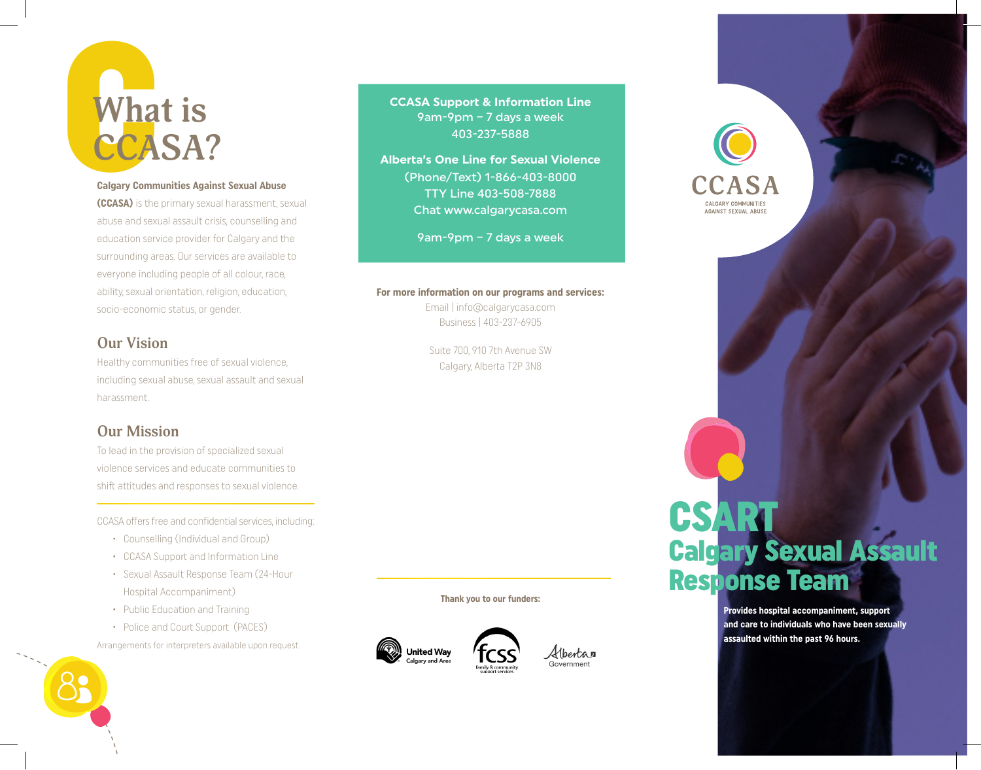# Wha **What is CCASA?**

## **Calgary Communities Against Sexual Abuse**

**(CCASA)** is the primary sexual harassment, sexual abuse and sexual assault crisis, counselling and education service provider for Calgary and the surrounding areas. Our services are available to everyone including people of all colour, race, ability, sexual orientation, religion, education, socio-economic status, or gender.

## **Our Vision**

Healthy communities free of sexual violence, including sexual abuse, sexual assault and sexual harassment.

## **Our Mission**

To lead in the provision of specialized sexual violence services and educate communities to shift attitudes and responses to sexual violence.

CCASA offers free and confidential services, including:

- • Counselling (Individual and Group)
- • CCASA Support and Information Line
- • Sexual Assault Response Team (24-Hour Hospital Accompaniment)
- Public Education and Training
- Police and Court Support (PACES)

Arrangements for interpreters available upon request.



**CCASA Support & Information Line**  9am-9pm – 7 days a week 403-237-5888

**Alberta's One Line for Sexual Violence**  (Phone/Text) 1-866-403-8000 TTY Line 403-508-7888 Chat www.calgarycasa.com

9am-9pm – 7 days a week

## **For more information on our programs and services:**

Email | info@calgarycasa.com Business | 403-237-6905

Suite 700, 910 7th Avenue SW Calgary, Alberta T2P 3N8

**Thank you to our funders:**





## ALGARY COMMUNITIES AGAINST SEXUAL ABUSE

# **CSART** Calgary Sexual Assault Response Team

**Provides hospital accompaniment, support and care to individuals who have been sexually assaulted within the past 96 hours.**